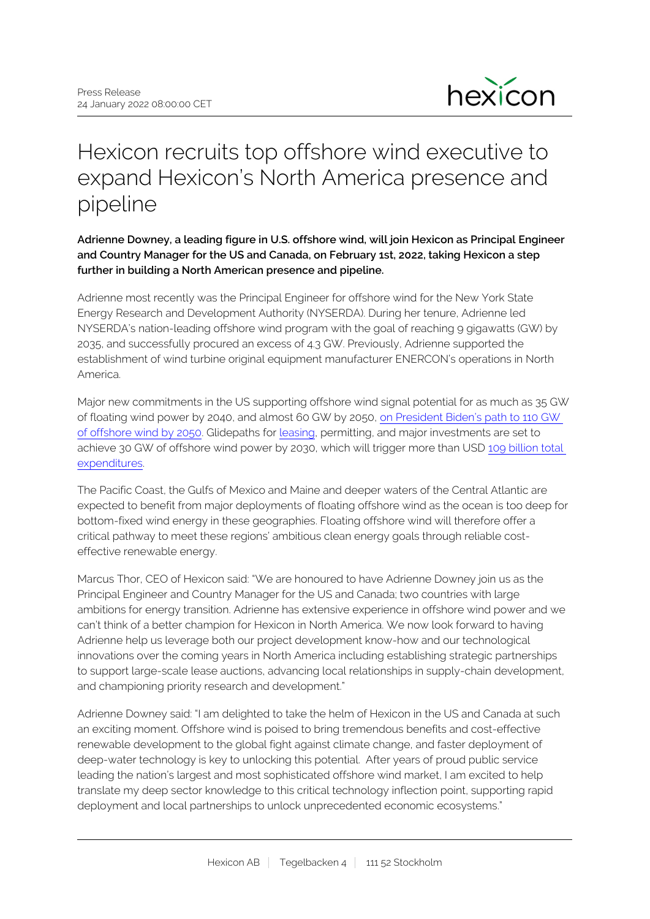

## Hexicon recruits top offshore wind executive to expand Hexicon's North America presence and pipeline

**Adrienne Downey, a leading figure in U.S. offshore wind, will join Hexicon as Principal Engineer and Country Manager for the US and Canada, on February 1st, 2022, taking Hexicon a step further in building a North American presence and pipeline.**

Adrienne most recently was the Principal Engineer for offshore wind for the New York State Energy Research and Development Authority (NYSERDA). During her tenure, Adrienne led NYSERDA's nation-leading offshore wind program with the goal of reaching 9 gigawatts (GW) by 2035, and successfully procured an excess of 4.3 GW. Previously, Adrienne supported the establishment of wind turbine original equipment manufacturer ENERCON's operations in North America.

Major new commitments in the US supporting offshore wind signal potential for as much as 35 GW of floating wind power by 2040, and almost 60 GW by 2050, [on President Biden's path to 110 GW](https://www.whitehouse.gov/briefing-room/statements-releases/2021/03/29/fact-sheet-biden-administration-jumpstarts-offshore-wind-energy-projects-to-create-jobs/)  [of offshore wind by 2050.](https://www.whitehouse.gov/briefing-room/statements-releases/2021/03/29/fact-sheet-biden-administration-jumpstarts-offshore-wind-energy-projects-to-create-jobs/) Glidepaths for [leasing,](https://www.boem.gov/sites/default/files/documents/renewable-energy/state-activities/OSW-Proposed-Leasing-Schedule.pdf) permitting, and major investments are set to achieve 30 GW of offshore wind power by 2030, which will trigger more than USD [109 billion total](https://cpb-us-w2.wpmucdn.com/sites.udel.edu/dist/e/10028/files/2021/10/SIOW-supply-chain-report-2021-update-FINAL-1.pdf)  [expenditures.](https://cpb-us-w2.wpmucdn.com/sites.udel.edu/dist/e/10028/files/2021/10/SIOW-supply-chain-report-2021-update-FINAL-1.pdf)

The Pacific Coast, the Gulfs of Mexico and Maine and deeper waters of the Central Atlantic are expected to benefit from major deployments of floating offshore wind as the ocean is too deep for bottom-fixed wind energy in these geographies. Floating offshore wind will therefore offer a critical pathway to meet these regions' ambitious clean energy goals through reliable costeffective renewable energy.

Marcus Thor, CEO of Hexicon said: "We are honoured to have Adrienne Downey join us as the Principal Engineer and Country Manager for the US and Canada; two countries with large ambitions for energy transition. Adrienne has extensive experience in offshore wind power and we can't think of a better champion for Hexicon in North America. We now look forward to having Adrienne help us leverage both our project development know-how and our technological innovations over the coming years in North America including establishing strategic partnerships to support large-scale lease auctions, advancing local relationships in supply-chain development, and championing priority research and development."

Adrienne Downey said: "I am delighted to take the helm of Hexicon in the US and Canada at such an exciting moment. Offshore wind is poised to bring tremendous benefits and cost-effective renewable development to the global fight against climate change, and faster deployment of deep-water technology is key to unlocking this potential. After years of proud public service leading the nation's largest and most sophisticated offshore wind market, I am excited to help translate my deep sector knowledge to this critical technology inflection point, supporting rapid deployment and local partnerships to unlock unprecedented economic ecosystems."